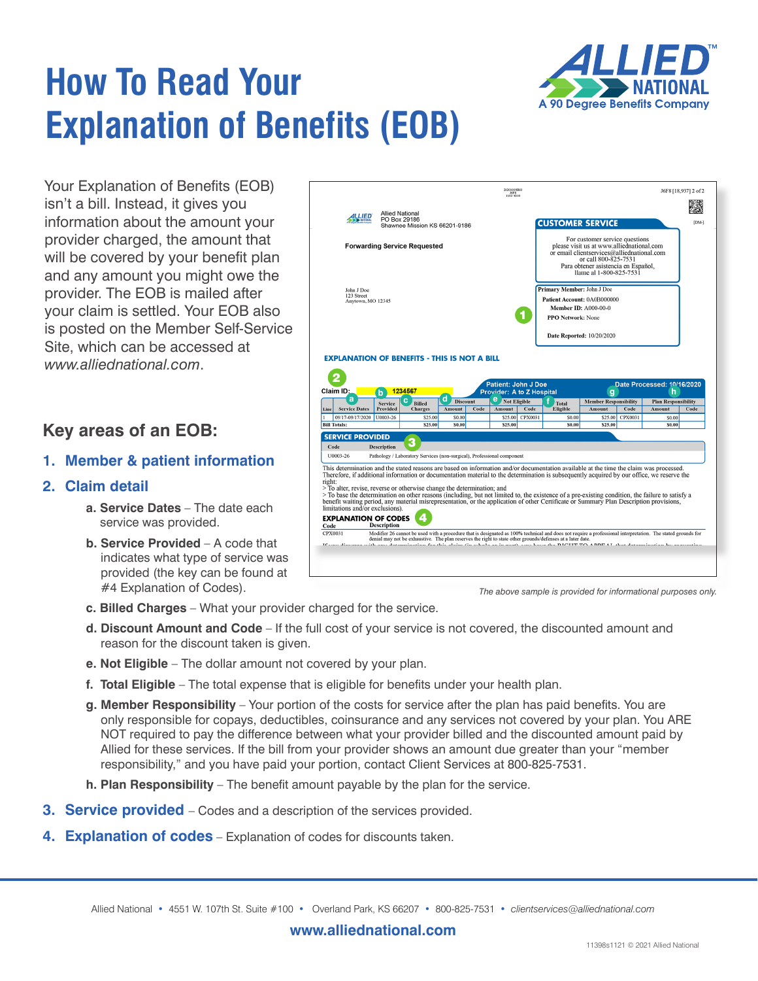# **How To Read Your Explanation of Benefits (EOB)**



Your Explanation of Benefits (EOB) isn't a bill. Instead, it gives you information about the amount your provider charged, the amount that will be covered by your benefit plan and any amount you might owe the provider. The EOB is mailed after your claim is settled. Your EOB also is posted on the Member Self-Service Site, which can be accessed at *www.alliednational.com*.

### **Key areas of an EOB:**

#### **1. Member & patient information**

#### **2. Claim detail**

- **a. Service Dates** The date each service was provided.
- **b. Service Provided** A code that indicates what type of service was provided (the key can be found at #4 Explanation of Codes).



*The above sample is provided for informational purposes only.*

- **c. Billed Charges** What your provider charged for the service.
- **d. Discount Amount and Code** If the full cost of your service is not covered, the discounted amount and reason for the discount taken is given.
- **e. Not Eligible**  The dollar amount not covered by your plan.
- **f. Total Eligible**  The total expense that is eligible for benefits under your health plan.
- **g. Member Responsibility**  Your portion of the costs for service after the plan has paid benefits. You are only responsible for copays, deductibles, coinsurance and any services not covered by your plan. You ARE NOT required to pay the difference between what your provider billed and the discounted amount paid by Allied for these services. If the bill from your provider shows an amount due greater than your "member responsibility," and you have paid your portion, contact Client Services at 800-825-7531.
- **h. Plan Responsibility**  The benefit amount payable by the plan for the service.
- **3. Service provided** Codes and a description of the services provided.
- **4. Explanation of codes** Explanation of codes for discounts taken.